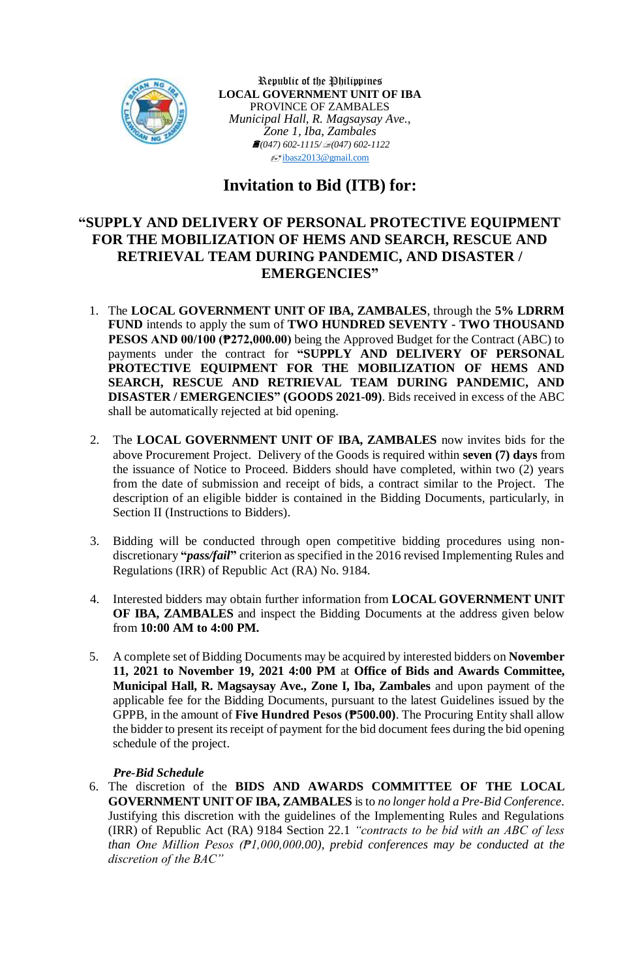

Republic of the Philippines **LOCAL GOVERNMENT UNIT OF IBA** PROVINCE OF ZAMBALES *Municipal Hall, R. Magsaysay Ave., Zone 1, Iba, Zambales (047) 602-1115/(047) 602-1122*  $\sqrt{\epsilon}$ [ibasz2013@gmail.com](mailto:ibasz2013@gmail.com)

# **Invitation to Bid (ITB) for:**

## **"SUPPLY AND DELIVERY OF PERSONAL PROTECTIVE EQUIPMENT FOR THE MOBILIZATION OF HEMS AND SEARCH, RESCUE AND RETRIEVAL TEAM DURING PANDEMIC, AND DISASTER / EMERGENCIES"**

- 1. The **LOCAL GOVERNMENT UNIT OF IBA, ZAMBALES**, through the **5% LDRRM FUND** intends to apply the sum of **TWO HUNDRED SEVENTY - TWO THOUSAND PESOS AND 00/100 (₱272,000.00)** being the Approved Budget for the Contract (ABC) to payments under the contract for **"SUPPLY AND DELIVERY OF PERSONAL PROTECTIVE EQUIPMENT FOR THE MOBILIZATION OF HEMS AND SEARCH, RESCUE AND RETRIEVAL TEAM DURING PANDEMIC, AND DISASTER / EMERGENCIES" (GOODS 2021-09)**. Bids received in excess of the ABC shall be automatically rejected at bid opening.
- 2. The **LOCAL GOVERNMENT UNIT OF IBA, ZAMBALES** now invites bids for the above Procurement Project. Delivery of the Goods is required within **seven (7) days** from the issuance of Notice to Proceed. Bidders should have completed, within two (2) years from the date of submission and receipt of bids, a contract similar to the Project. The description of an eligible bidder is contained in the Bidding Documents, particularly, in Section II (Instructions to Bidders).
- 3. Bidding will be conducted through open competitive bidding procedures using nondiscretionary **"***pass/fail***"** criterion as specified in the 2016 revised Implementing Rules and Regulations (IRR) of Republic Act (RA) No. 9184.
- 4. Interested bidders may obtain further information from **LOCAL GOVERNMENT UNIT OF IBA, ZAMBALES** and inspect the Bidding Documents at the address given below from **10:00 AM to 4:00 PM.**
- 5. A complete set of Bidding Documents may be acquired by interested bidders on **November 11, 2021 to November 19, 2021 4:00 PM** at **Office of Bids and Awards Committee, Municipal Hall, R. Magsaysay Ave., Zone I, Iba, Zambales** and upon payment of the applicable fee for the Bidding Documents, pursuant to the latest Guidelines issued by the GPPB, in the amount of **Five Hundred Pesos (₱500.00)**. The Procuring Entity shall allow the bidder to present its receipt of payment for the bid document fees during the bid opening schedule of the project.

## *Pre-Bid Schedule*

6. The discretion of the **BIDS AND AWARDS COMMITTEE OF THE LOCAL GOVERNMENT UNIT OF IBA, ZAMBALES** is to *no longer hold a Pre-Bid Conference*. Justifying this discretion with the guidelines of the Implementing Rules and Regulations (IRR) of Republic Act (RA) 9184 Section 22.1 *"contracts to be bid with an ABC of less than One Million Pesos (₱1,000,000.00), prebid conferences may be conducted at the discretion of the BAC"*